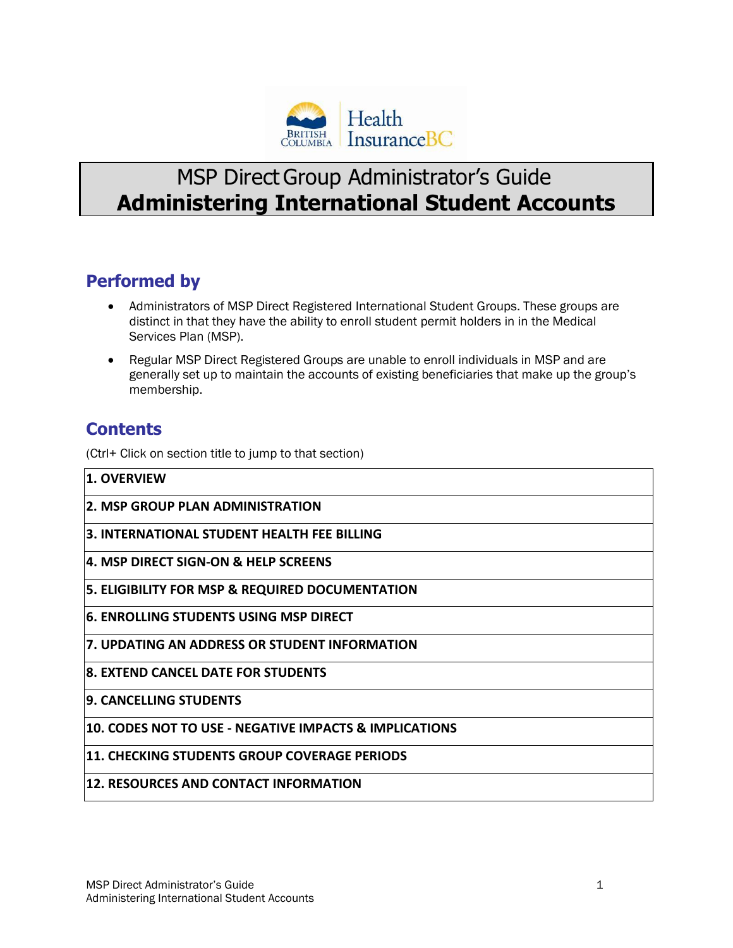

# MSP Direct Group Administrator's Guide **Administering International Student Accounts**

### **Performed by**

- Administrators of MSP Direct Registered International Student Groups. These groups are distinct in that they have the ability to enroll student permit holders in in the Medical Services Plan (MSP).
- Regular MSP Direct Registered Groups are unable to enroll individuals in MSP and are generally set up to maintain the accounts of existing beneficiaries that make up the group's membership.

### **Contents**

(Ctrl+ Click on section title to jump to that section)

- **1. OVERVIEW**
- **2. MSP GROUP PLAN ADMINISTRATION**
- **3. INTERNATIONAL STUDENT HEALTH FEE BILLING**
- **4. MSP DIRECT SIGN-ON & HELP SCREENS**
- **5. ELIGIBILITY FOR MSP & REQUIRED DOCUMENTATION**
- **6. ENROLLING STUDENTS USING MSP DIRECT**
- **7. UPDATING AN ADDRESS OR STUDENT INFORMATION**
- **8. EXTEND CANCEL DATE FOR STUDENTS**
- **9. CANCELLING STUDENTS**
- **10. CODES NOT TO USE - NEGATIVE IMPACTS & IMPLICATIONS**
- **11. CHECKING STUDENTS GROUP COVERAGE PERIODS**
- **12. RESOURCES AND CONTACT INFORMATION**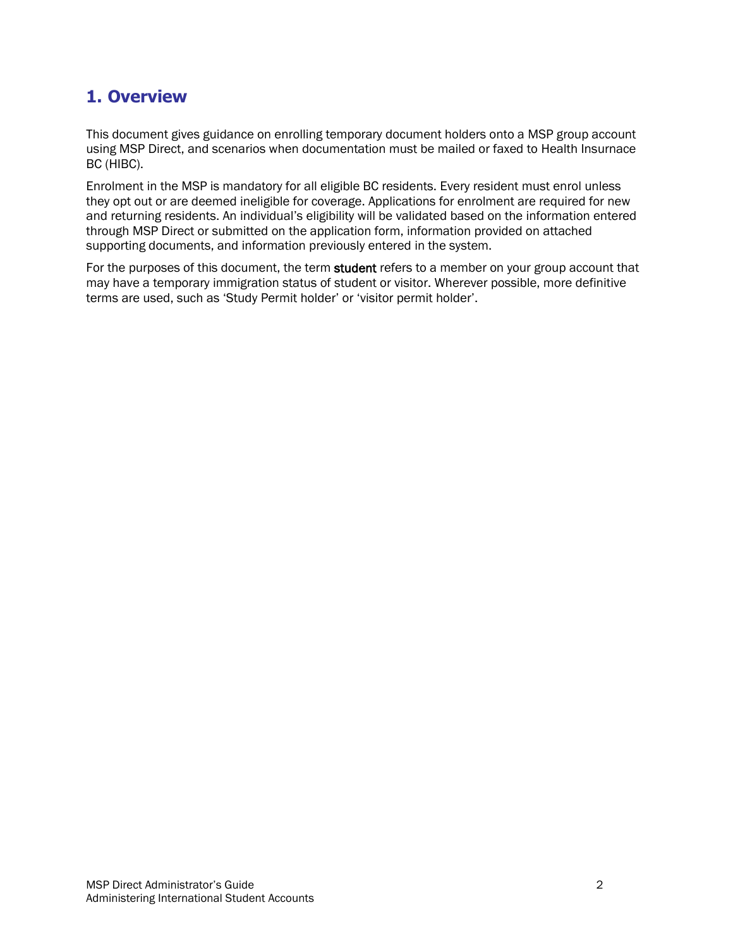### **1. Overview**

This document gives guidance on enrolling temporary document holders onto a MSP group account using MSP Direct, and scenarios when documentation must be mailed or faxed to Health Insurnace BC (HIBC).

Enrolment in the MSP is mandatory for all eligible BC residents. Every resident must enrol unless they opt out or are deemed ineligible for coverage. Applications for enrolment are required for new and returning residents. An individual's eligibility will be validated based on the information entered through MSP Direct or submitted on the application form, information provided on attached supporting documents, and information previously entered in the system.

For the purposes of this document, the term student refers to a member on your group account that may have a temporary immigration status of student or visitor. Wherever possible, more definitive terms are used, such as 'Study Permit holder' or 'visitor permit holder'.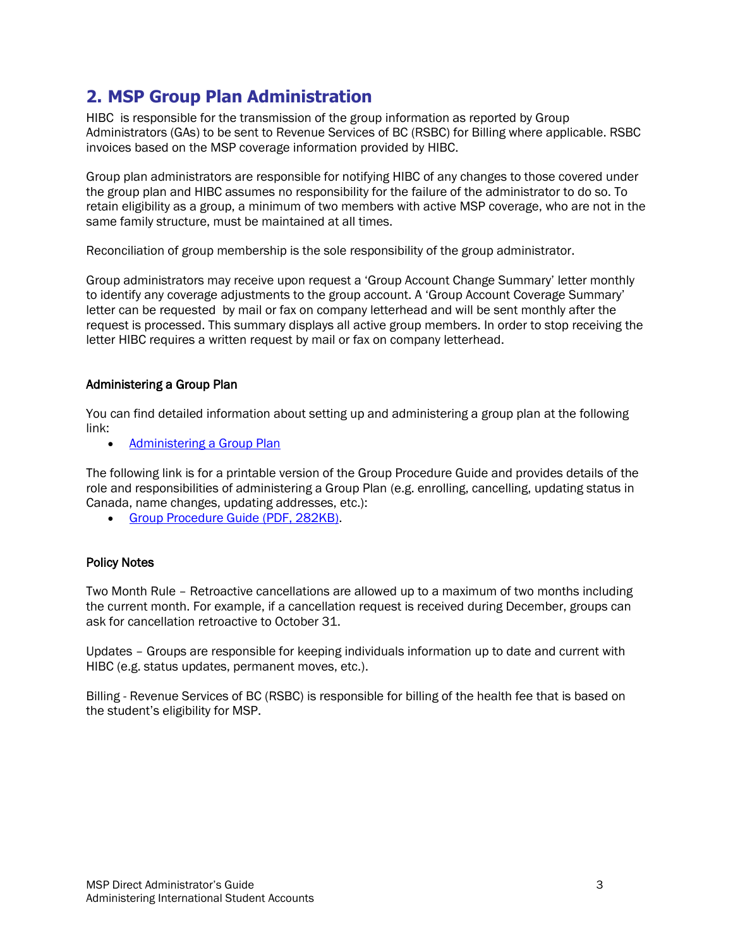### **2. MSP Group Plan Administration**

HIBC is responsible for the transmission of the group information as reported by Group Administrators (GAs) to be sent to Revenue Services of BC (RSBC) for Billing where applicable. RSBC invoices based on the MSP coverage information provided by HIBC.

Group plan administrators are responsible for notifying HIBC of any changes to those covered under the group plan and HIBC assumes no responsibility for the failure of the administrator to do so. To retain eligibility as a group, a minimum of two members with active MSP coverage, who are not in the same family structure, must be maintained at all times.

Reconciliation of group membership is the sole responsibility of the group administrator.

Group administrators may receive upon request a 'Group Account Change Summary' letter monthly to identify any coverage adjustments to the group account. A 'Group Account Coverage Summary' letter can be requested by mail or fax on company letterhead and will be sent monthly after the request is processed. This summary displays all active group members. In order to stop receiving the letter HIBC requires a written request by mail or fax on company letterhead.

### Administering a Group Plan

You can find detailed information about setting up and administering a group plan at the following link:

• Administering a Group Plan

The following link is for a printable version of the Group Procedure Guide and provides details of the role and responsibilities of administering a Group Plan (e.g. enrolling, cancelling, updating status in Canada, name changes, updating addresses, etc.):

• Group Procedure Guide (PDF, 282KB).

### Policy Notes

Two Month Rule – Retroactive cancellations are allowed up to a maximum of two months including the current month. For example, if a cancellation request is received during December, groups can ask for cancellation retroactive to October 31.

Updates – Groups are responsible for keeping individuals information up to date and current with HIBC (e.g. status updates, permanent moves, etc.).

Billing - Revenue Services of BC (RSBC) is responsible for billing of the health fee that is based on the student's eligibility for MSP.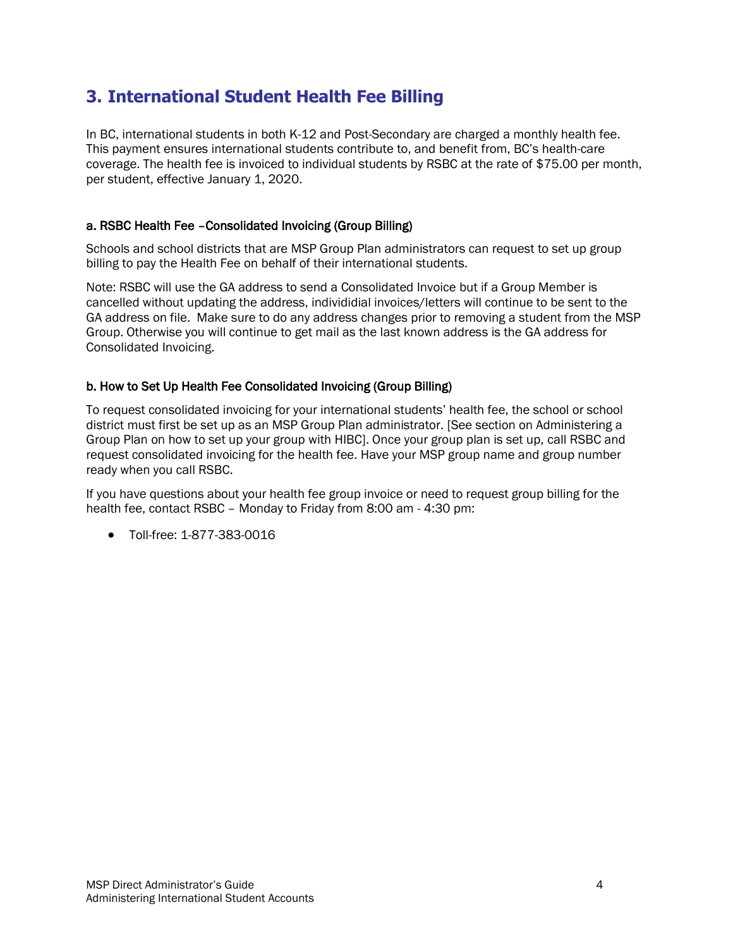### **3. International Student Health Fee Billing**

In BC, international students in both K-12 and Post-Secondary are charged a monthly health fee. This payment ensures international students contribute to, and benefit from, BC's health-care coverage. The health fee is invoiced to individual students by RSBC at the rate of \$75.00 per month, per student, effective January 1, 2020.

### a. RSBC Health Fee –Consolidated Invoicing (Group Billing)

Schools and school districts that are MSP Group Plan administrators can request to set up group billing to pay the Health Fee on behalf of their international students.

Note: RSBC will use the GA address to send a Consolidated Invoice but if a Group Member is cancelled without updating the address, individidial invoices/letters will continue to be sent to the GA address on file. Make sure to do any address changes prior to removing a student from the MSP Group. Otherwise you will continue to get mail as the last known address is the GA address for Consolidated Invoicing.

### b. How to Set Up Health Fee Consolidated Invoicing (Group Billing)

To request consolidated invoicing for your international students' health fee, the school or school district must first be set up as an MSP Group Plan administrator. [See section on Administering a Group Plan on how to set up your group with HIBC]. Once your group plan is set up, call RSBC and request consolidated invoicing for the health fee. Have your MSP group name and group number ready when you call RSBC.

If you have questions about your health fee group invoice or need to request group billing for the health fee, contact RSBC – Monday to Friday from 8:00 am - 4:30 pm:

• Toll-free: 1-877-383-0016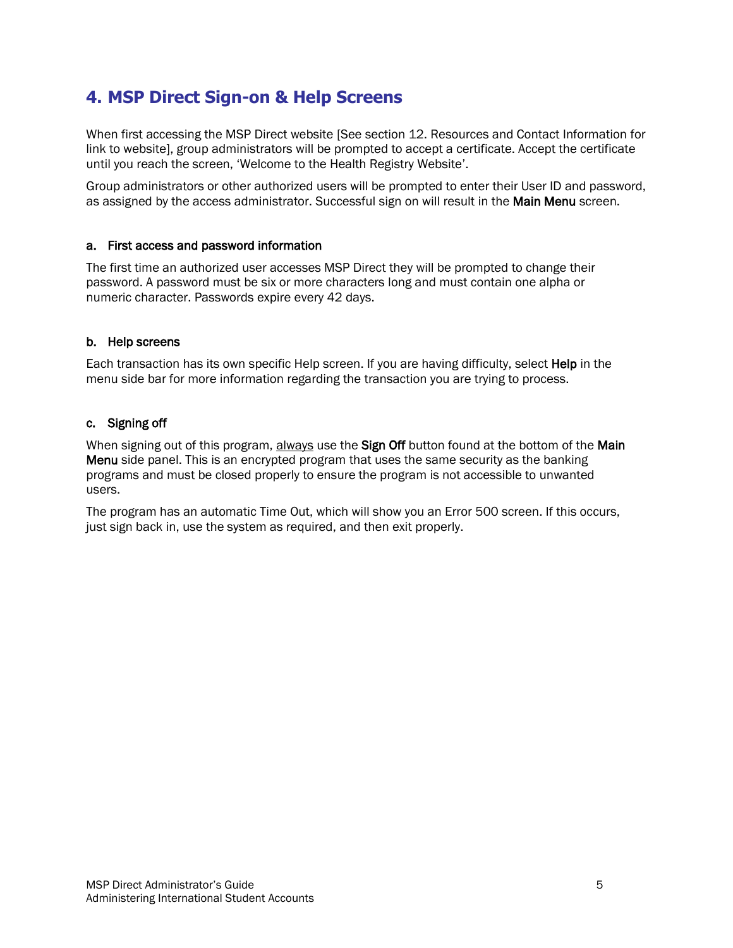## **4. MSP Direct Sign-on & Help Screens**

When first accessing the MSP Direct website [See section 12. Resources and Contact Information for link to website], group administrators will be prompted to accept a certificate. Accept the certificate until you reach the screen, 'Welcome to the Health Registry Website'.

Group administrators or other authorized users will be prompted to enter their User ID and password, as assigned by the access administrator. Successful sign on will result in the Main Menu screen.

### a. First access and password information

The first time an authorized user accesses MSP Direct they will be prompted to change their password. A password must be six or more characters long and must contain one alpha or numeric character. Passwords expire every 42 days.

### b. Help screens

Each transaction has its own specific Help screen. If you are having difficulty, select Help in the menu side bar for more information regarding the transaction you are trying to process.

### c. Signing off

When signing out of this program, always use the Sign Off button found at the bottom of the Main Menu side panel. This is an encrypted program that uses the same security as the banking programs and must be closed properly to ensure the program is not accessible to unwanted users.

The program has an automatic Time Out, which will show you an Error 500 screen. If this occurs, just sign back in, use the system as required, and then exit properly.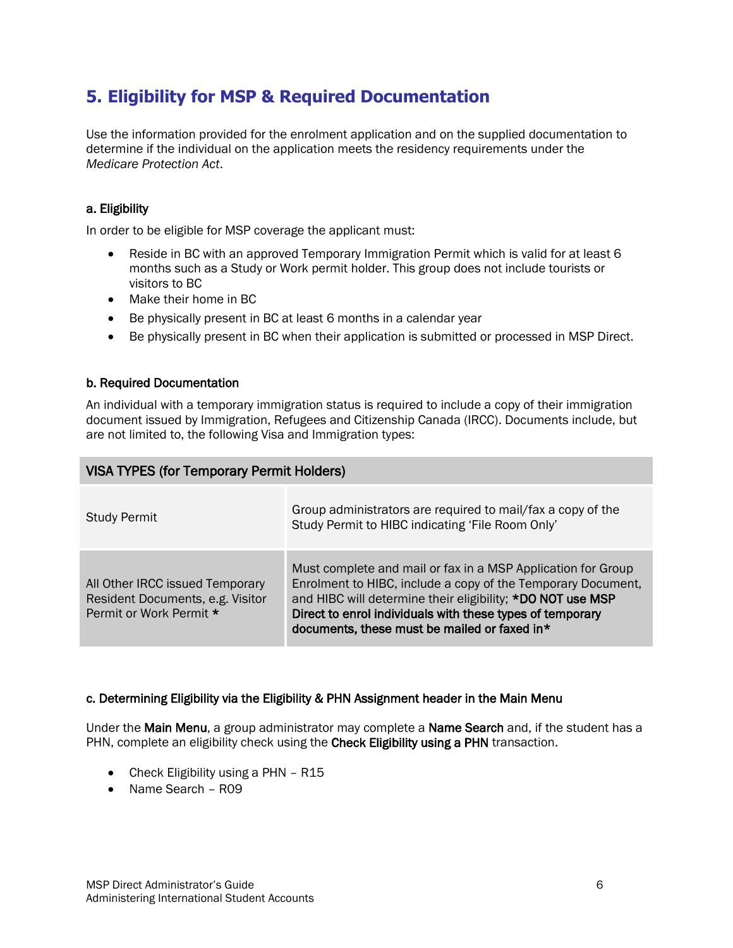## **5. Eligibility for MSP & Required Documentation**

Use the information provided for the enrolment application and on the supplied documentation to determine if the individual on the application meets the residency requirements under the *Medicare Protection Act*.

### a. Eligibility

In order to be eligible for MSP coverage the applicant must:

- Reside in BC with an approved Temporary Immigration Permit which is valid for at least 6 months such as a Study or Work permit holder. This group does not include tourists or visitors to BC
- Make their home in BC
- Be physically present in BC at least 6 months in a calendar year
- Be physically present in BC when their application is submitted or processed in MSP Direct.

#### b. Required Documentation

An individual with a temporary immigration status is required to include a copy of their immigration document issued by Immigration, Refugees and Citizenship Canada (IRCC). Documents include, but are not limited to, the following Visa and Immigration types:

| <b>VISA TYPES (for Temporary Permit Holders)</b>                                               |                                                                                                                                                                                                                                                                                                         |  |  |
|------------------------------------------------------------------------------------------------|---------------------------------------------------------------------------------------------------------------------------------------------------------------------------------------------------------------------------------------------------------------------------------------------------------|--|--|
| <b>Study Permit</b>                                                                            | Group administrators are required to mail/fax a copy of the<br>Study Permit to HIBC indicating 'File Room Only'                                                                                                                                                                                         |  |  |
| All Other IRCC issued Temporary<br>Resident Documents, e.g. Visitor<br>Permit or Work Permit * | Must complete and mail or fax in a MSP Application for Group<br>Enrolment to HIBC, include a copy of the Temporary Document,<br>and HIBC will determine their eligibility; *DO NOT use MSP<br>Direct to enrol individuals with these types of temporary<br>documents, these must be mailed or faxed in* |  |  |

#### c. Determining Eligibility via the Eligibility & PHN Assignment header in the Main Menu

Under the Main Menu, a group administrator may complete a Name Search and, if the student has a PHN, complete an eligibility check using the Check Eligibility using a PHN transaction.

- Check Eligibility using a PHN R15
- Name Search R09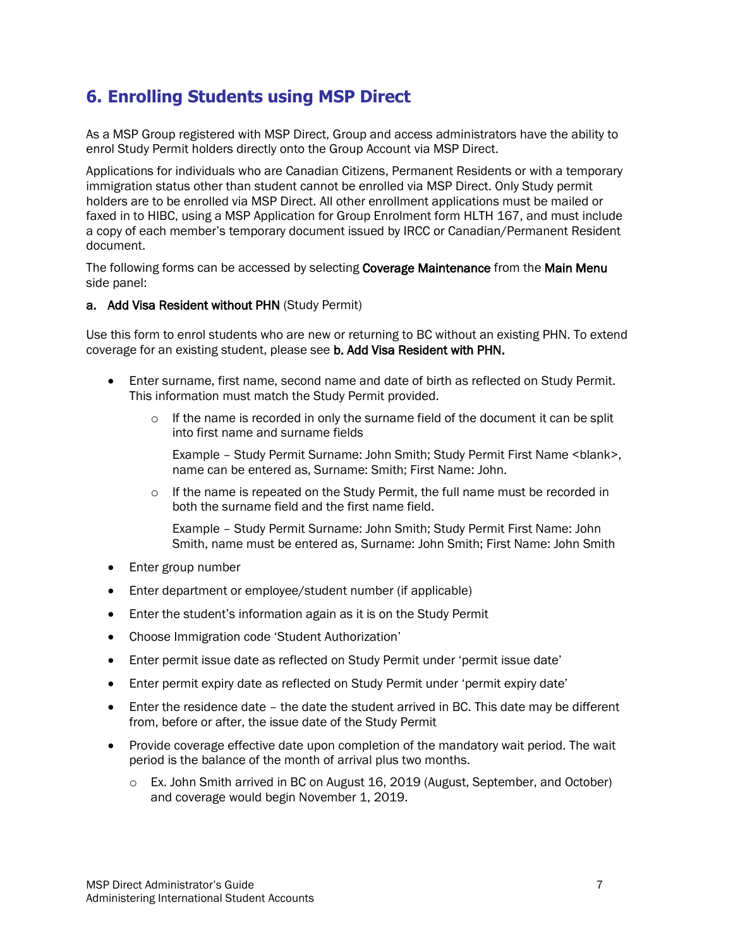### **6. Enrolling Students using MSP Direct**

As a MSP Group registered with MSP Direct, Group and access administrators have the ability to enrol Study Permit holders directly onto the Group Account via MSP Direct.

Applications for individuals who are Canadian Citizens, Permanent Residents or with a temporary immigration status other than student cannot be enrolled via MSP Direct. Only Study permit holders are to be enrolled via MSP Direct. All other enrollment applications must be mailed or faxed in to HIBC, using a MSP Application for Group Enrolment form HLTH 167, and must include a copy of each member's temporary document issued by IRCC or Canadian/Permanent Resident document.

The following forms can be accessed by selecting **Coverage Maintenance** from the Main Menu side panel:

#### a. Add Visa Resident without PHN (Study Permit)

Use this form to enrol students who are new or returning to BC without an existing PHN. To extend coverage for an existing student, please see b. Add Visa Resident with PHN.

- Enter surname, first name, second name and date of birth as reflected on Study Permit. This information must match the Study Permit provided.
	- $\circ$  If the name is recorded in only the surname field of the document it can be split into first name and surname fields

Example – Study Permit Surname: John Smith; Study Permit First Name <blank>, name can be entered as, Surname: Smith; First Name: John.

 $\circ$  If the name is repeated on the Study Permit, the full name must be recorded in both the surname field and the first name field.

Example – Study Permit Surname: John Smith; Study Permit First Name: John Smith, name must be entered as, Surname: John Smith; First Name: John Smith

- Enter group number
- Enter department or employee/student number (if applicable)
- Enter the student's information again as it is on the Study Permit
- Choose Immigration code 'Student Authorization'
- Enter permit issue date as reflected on Study Permit under 'permit issue date'
- Enter permit expiry date as reflected on Study Permit under 'permit expiry date'
- Enter the residence date the date the student arrived in BC. This date may be different from, before or after, the issue date of the Study Permit
- Provide coverage effective date upon completion of the mandatory wait period. The wait period is the balance of the month of arrival plus two months.
	- o Ex. John Smith arrived in BC on August 16, 2019 (August, September, and October) and coverage would begin November 1, 2019.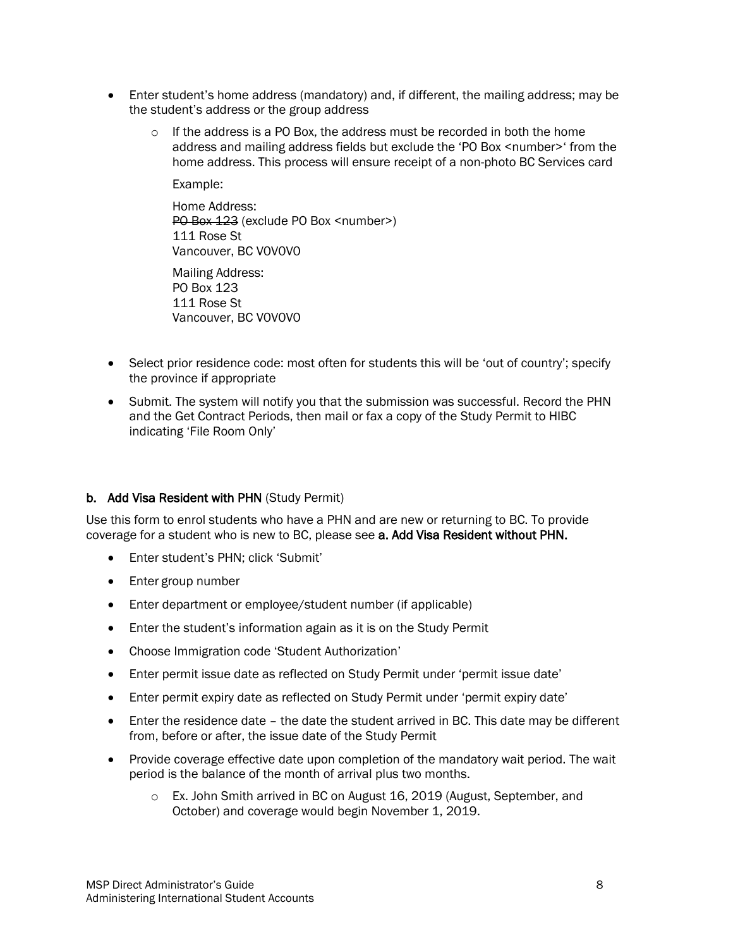- Enter student's home address (mandatory) and, if different, the mailing address; may be the student's address or the group address
	- $\circ$  If the address is a PO Box, the address must be recorded in both the home address and mailing address fields but exclude the 'PO Box <number>' from the home address. This process will ensure receipt of a non-photo BC Services card

Example:

Home Address: PO Box 123 (exclude PO Box <number>) 111 Rose St Vancouver, BC V0V0V0

Mailing Address: PO Box 123 111 Rose St Vancouver, BC V0V0V0

- Select prior residence code: most often for students this will be 'out of country'; specify the province if appropriate
- Submit. The system will notify you that the submission was successful. Record the PHN and the Get Contract Periods, then mail or fax a copy of the Study Permit to HIBC indicating 'File Room Only'

#### b. Add Visa Resident with PHN (Study Permit)

Use this form to enrol students who have a PHN and are new or returning to BC. To provide coverage for a student who is new to BC, please see a. Add Visa Resident without PHN.

- Enter student's PHN; click 'Submit'
- Enter group number
- Enter department or employee/student number (if applicable)
- Enter the student's information again as it is on the Study Permit
- Choose Immigration code 'Student Authorization'
- Enter permit issue date as reflected on Study Permit under 'permit issue date'
- Enter permit expiry date as reflected on Study Permit under 'permit expiry date'
- Enter the residence date the date the student arrived in BC. This date may be different from, before or after, the issue date of the Study Permit
- Provide coverage effective date upon completion of the mandatory wait period. The wait period is the balance of the month of arrival plus two months.
	- o Ex. John Smith arrived in BC on August 16, 2019 (August, September, and October) and coverage would begin November 1, 2019.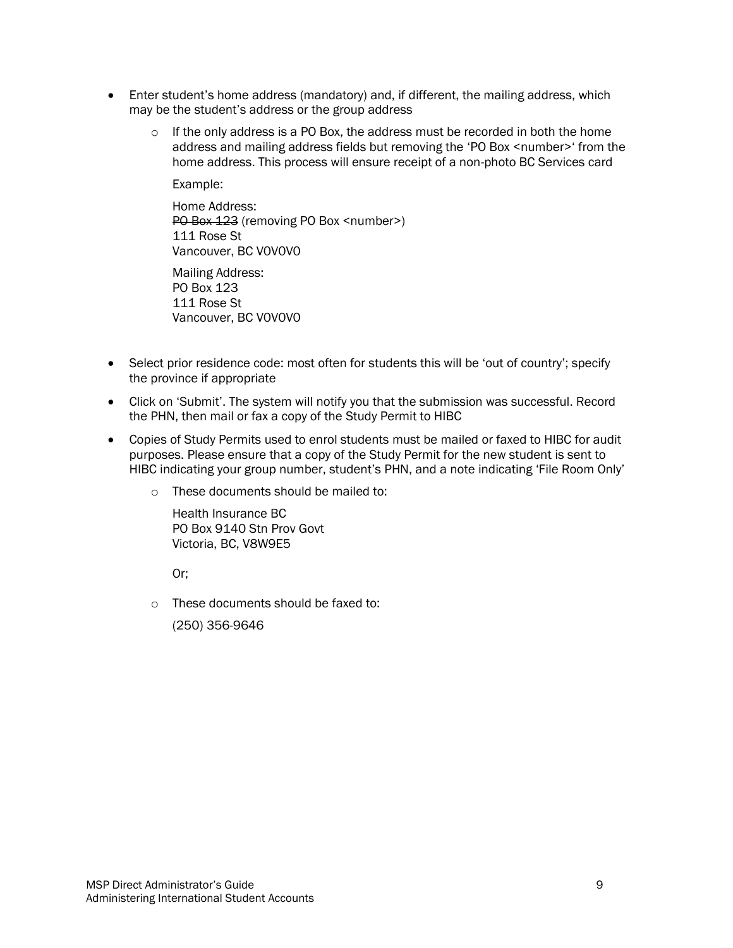- Enter student's home address (mandatory) and, if different, the mailing address, which may be the student's address or the group address
	- o If the only address is a PO Box, the address must be recorded in both the home address and mailing address fields but removing the 'PO Box <number>' from the home address. This process will ensure receipt of a non-photo BC Services card

Example:

Home Address: PO Box 123 (removing PO Box <number>) 111 Rose St Vancouver, BC V0V0V0

Mailing Address: PO Box 123 111 Rose St Vancouver, BC V0V0V0

- Select prior residence code: most often for students this will be 'out of country'; specify the province if appropriate
- Click on 'Submit'. The system will notify you that the submission was successful. Record the PHN, then mail or fax a copy of the Study Permit to HIBC
- Copies of Study Permits used to enrol students must be mailed or faxed to HIBC for audit purposes. Please ensure that a copy of the Study Permit for the new student is sent to HIBC indicating your group number, student's PHN, and a note indicating 'File Room Only'
	- o These documents should be mailed to:

Health Insurance BC PO Box 9140 Stn Prov Govt Victoria, BC, V8W9E5

Or;

o These documents should be faxed to:

(250) 356-9646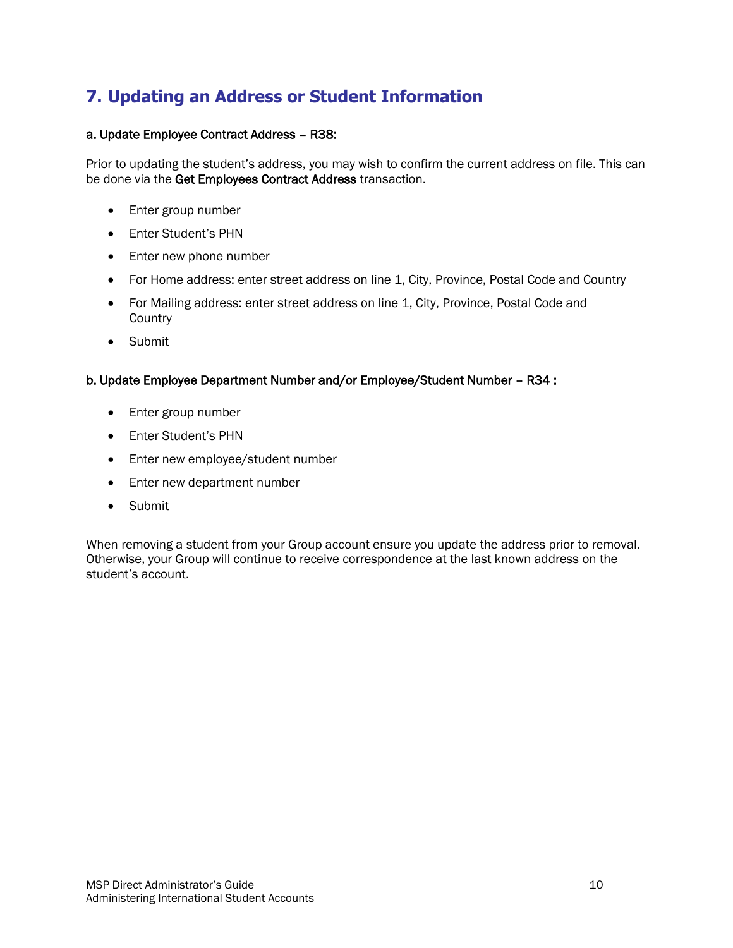## **7. Updating an Address or Student Information**

### a. Update Employee Contract Address – R38:

Prior to updating the student's address, you may wish to confirm the current address on file. This can be done via the Get Employees Contract Address transaction.

- Enter group number
- Enter Student's PHN
- Enter new phone number
- For Home address: enter street address on line 1, City, Province, Postal Code and Country
- For Mailing address: enter street address on line 1, City, Province, Postal Code and **Country**
- Submit

### b. Update Employee Department Number and/or Employee/Student Number – R34 :

- Enter group number
- Enter Student's PHN
- Enter new employee/student number
- Enter new department number
- Submit

When removing a student from your Group account ensure you update the address prior to removal. Otherwise, your Group will continue to receive correspondence at the last known address on the student's account.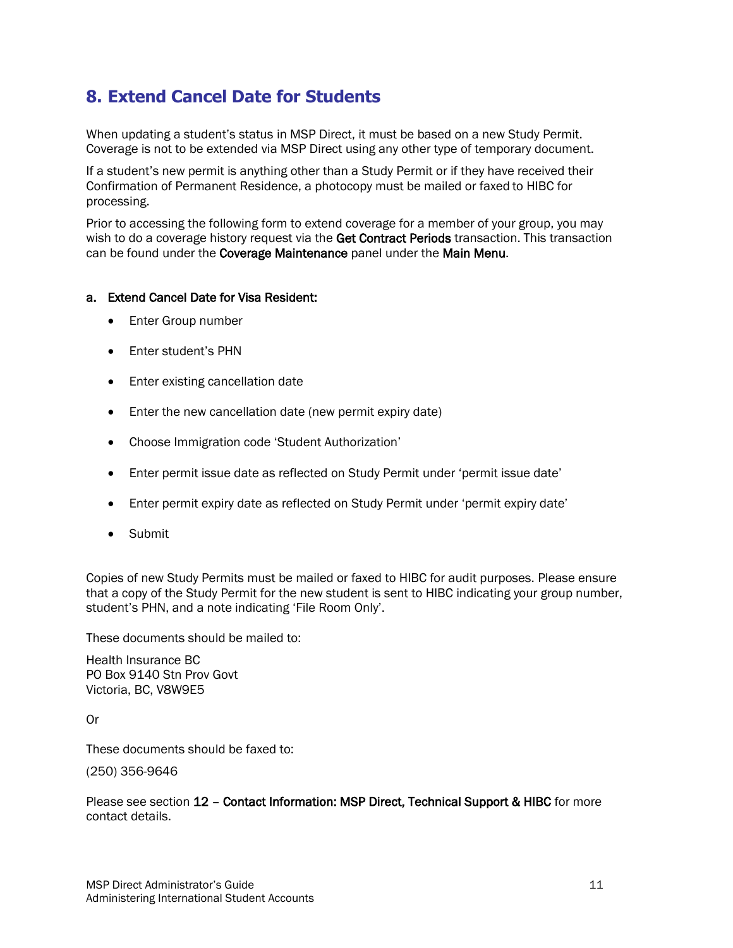### **8. Extend Cancel Date for Students**

When updating a student's status in MSP Direct, it must be based on a new Study Permit. Coverage is not to be extended via MSP Direct using any other type of temporary document.

If a student's new permit is anything other than a Study Permit or if they have received their Confirmation of Permanent Residence, a photocopy must be mailed or faxed to HIBC for processing.

Prior to accessing the following form to extend coverage for a member of your group, you may wish to do a coverage history request via the Get Contract Periods transaction. This transaction can be found under the Coverage Maintenance panel under the Main Menu.

#### a. Extend Cancel Date for Visa Resident:

- Enter Group number
- Enter student's PHN
- Enter existing cancellation date
- Enter the new cancellation date (new permit expiry date)
- Choose Immigration code 'Student Authorization'
- Enter permit issue date as reflected on Study Permit under 'permit issue date'
- Enter permit expiry date as reflected on Study Permit under 'permit expiry date'
- Submit

Copies of new Study Permits must be mailed or faxed to HIBC for audit purposes. Please ensure that a copy of the Study Permit for the new student is sent to HIBC indicating your group number, student's PHN, and a note indicating 'File Room Only'.

These documents should be mailed to:

Health Insurance BC PO Box 9140 Stn Prov Govt Victoria, BC, V8W9E5

Or

These documents should be faxed to:

(250) 356-9646

Please see section 12 – Contact Information: MSP Direct, Technical Support & HIBC for more contact details.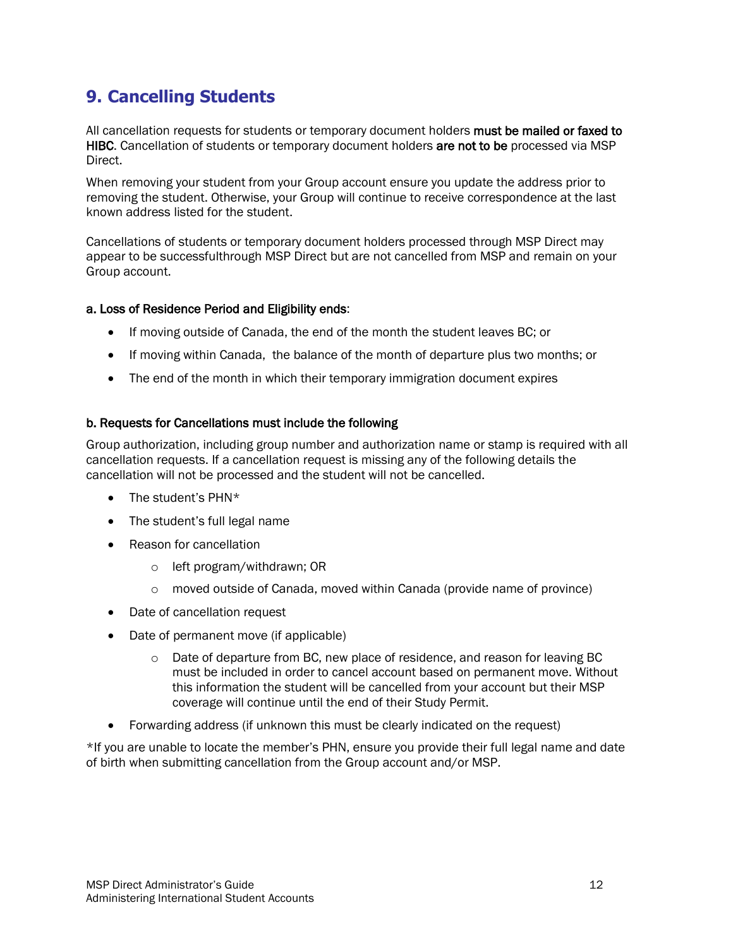## **9. Cancelling Students**

All cancellation requests for students or temporary document holders must be mailed or faxed to HIBC. Cancellation of students or temporary document holders are not to be processed via MSP Direct.

When removing your student from your Group account ensure you update the address prior to removing the student. Otherwise, your Group will continue to receive correspondence at the last known address listed for the student.

Cancellations of students or temporary document holders processed through MSP Direct may appear to be successfulthrough MSP Direct but are not cancelled from MSP and remain on your Group account.

### a. Loss of Residence Period and Eligibility ends:

- If moving outside of Canada, the end of the month the student leaves BC; or
- If moving within Canada, the balance of the month of departure plus two months; or
- The end of the month in which their temporary immigration document expires

### b. Requests for Cancellations must include the following

Group authorization, including group number and authorization name or stamp is required with all cancellation requests. If a cancellation request is missing any of the following details the cancellation will not be processed and the student will not be cancelled.

- The student's PHN\*
- The student's full legal name
- Reason for cancellation
	- o left program/withdrawn; OR
	- $\circ$  moved outside of Canada, moved within Canada (provide name of province)
- Date of cancellation request
- Date of permanent move (if applicable)
	- $\circ$  Date of departure from BC, new place of residence, and reason for leaving BC must be included in order to cancel account based on permanent move. Without this information the student will be cancelled from your account but their MSP coverage will continue until the end of their Study Permit.
- Forwarding address (if unknown this must be clearly indicated on the request)

\*If you are unable to locate the member's PHN, ensure you provide their full legal name and date of birth when submitting cancellation from the Group account and/or MSP.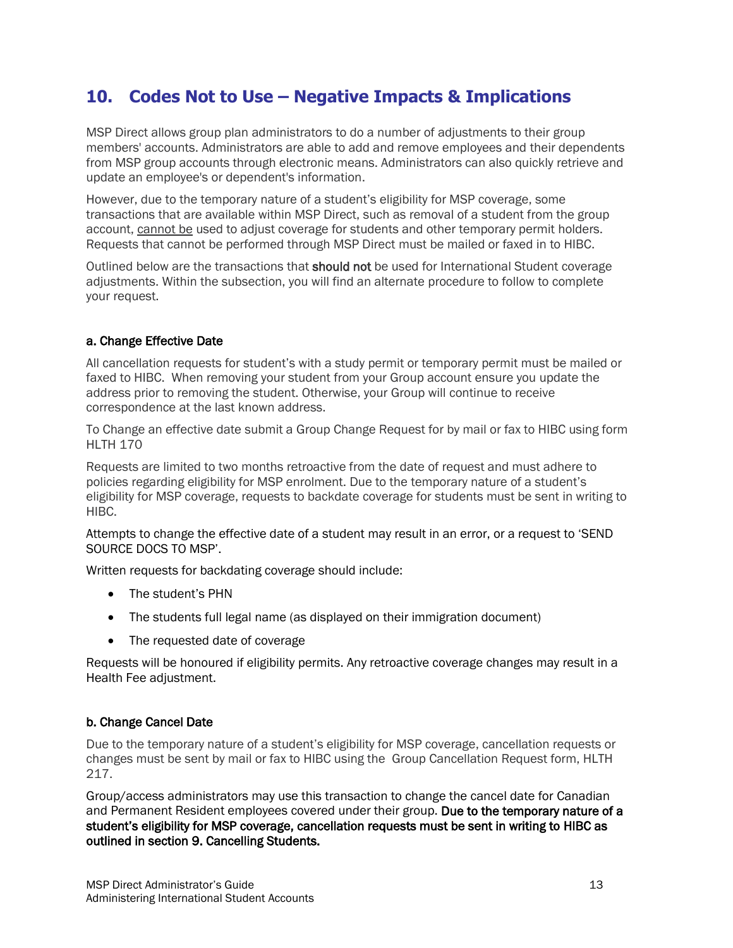### **10. Codes Not to Use – Negative Impacts & Implications**

MSP Direct allows group plan administrators to do a number of adjustments to their group members' accounts. Administrators are able to add and remove employees and their dependents from MSP group accounts through electronic means. Administrators can also quickly retrieve and update an employee's or dependent's information.

However, due to the temporary nature of a student's eligibility for MSP coverage, some transactions that are available within MSP Direct, such as removal of a student from the group account, cannot be used to adjust coverage for students and other temporary permit holders. Requests that cannot be performed through MSP Direct must be mailed or faxed in to HIBC.

Outlined below are the transactions that should not be used for International Student coverage adjustments. Within the subsection, you will find an alternate procedure to follow to complete your request.

### a. Change Effective Date

All cancellation requests for student's with a study permit or temporary permit must be mailed or faxed to HIBC. When removing your student from your Group account ensure you update the address prior to removing the student. Otherwise, your Group will continue to receive correspondence at the last known address.

To Change an effective date submit a Group Change Request for by mail or fax to HIBC using form HLTH 170

Requests are limited to two months retroactive from the date of request and must adhere to policies regarding eligibility for MSP enrolment. Due to the temporary nature of a student's eligibility for MSP coverage, requests to backdate coverage for students must be sent in writing to HIBC.

Attempts to change the effective date of a student may result in an error, or a request to 'SEND SOURCE DOCS TO MSP'.

Written requests for backdating coverage should include:

- The student's PHN
- The students full legal name (as displayed on their immigration document)
- The requested date of coverage

Requests will be honoured if eligibility permits. Any retroactive coverage changes may result in a Health Fee adjustment.

### b. Change Cancel Date

Due to the temporary nature of a student's eligibility for MSP coverage, cancellation requests or changes must be sent by mail or fax to HIBC using the Group Cancellation Request form, HLTH 217.

Group/access administrators may use this transaction to change the cancel date for Canadian and Permanent Resident employees covered under their group. Due to the temporary nature of a student's eligibility for MSP coverage, cancellation requests must be sent in writing to HIBC as outlined in section 9. Cancelling Students.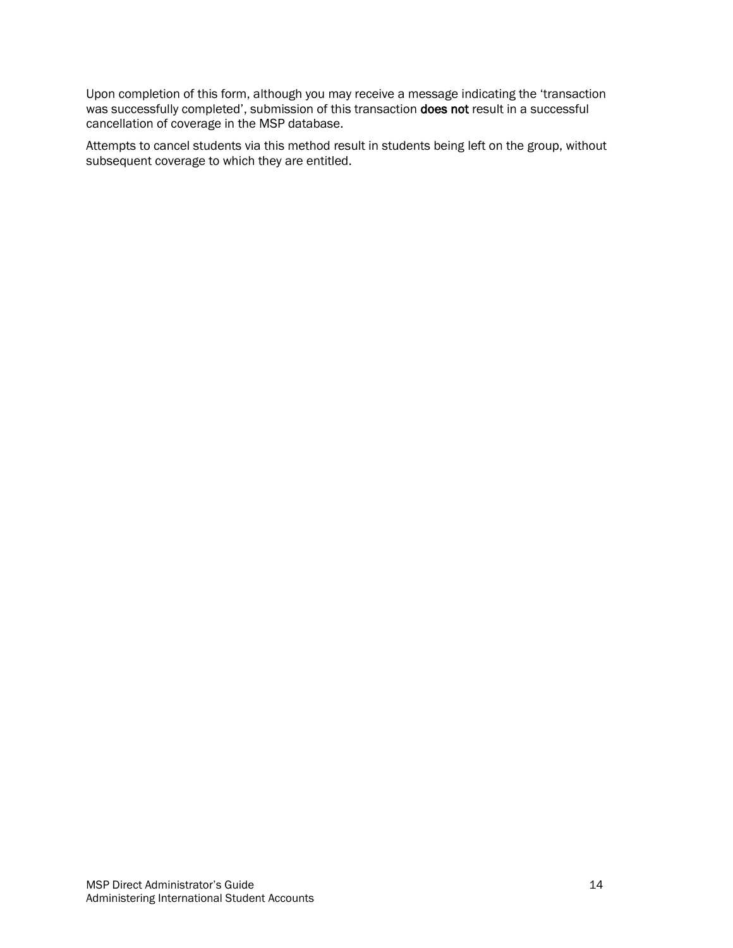Upon completion of this form, although you may receive a message indicating the 'transaction was successfully completed', submission of this transaction does not result in a successful cancellation of coverage in the MSP database.

Attempts to cancel students via this method result in students being left on the group, without subsequent coverage to which they are entitled.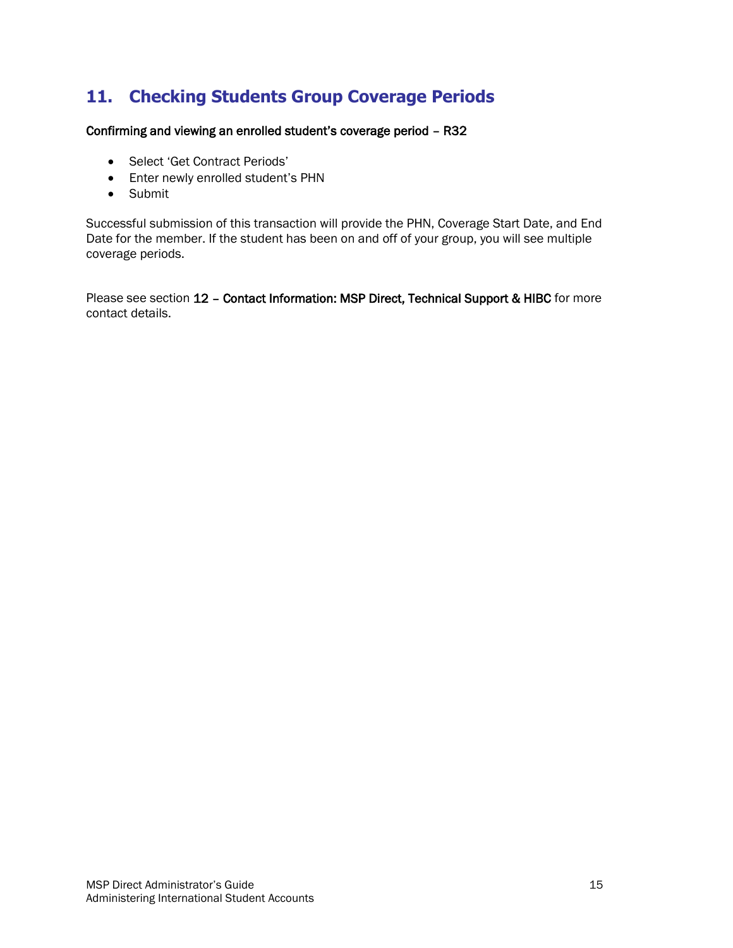## **11. Checking Students Group Coverage Periods**

Confirming and viewing an enrolled student's coverage period – R32

- Select 'Get Contract Periods'
- Enter newly enrolled student's PHN
- Submit

Successful submission of this transaction will provide the PHN, Coverage Start Date, and End Date for the member. If the student has been on and off of your group, you will see multiple coverage periods.

Please see section 12 - Contact Information: MSP Direct, Technical Support & HIBC for more contact details.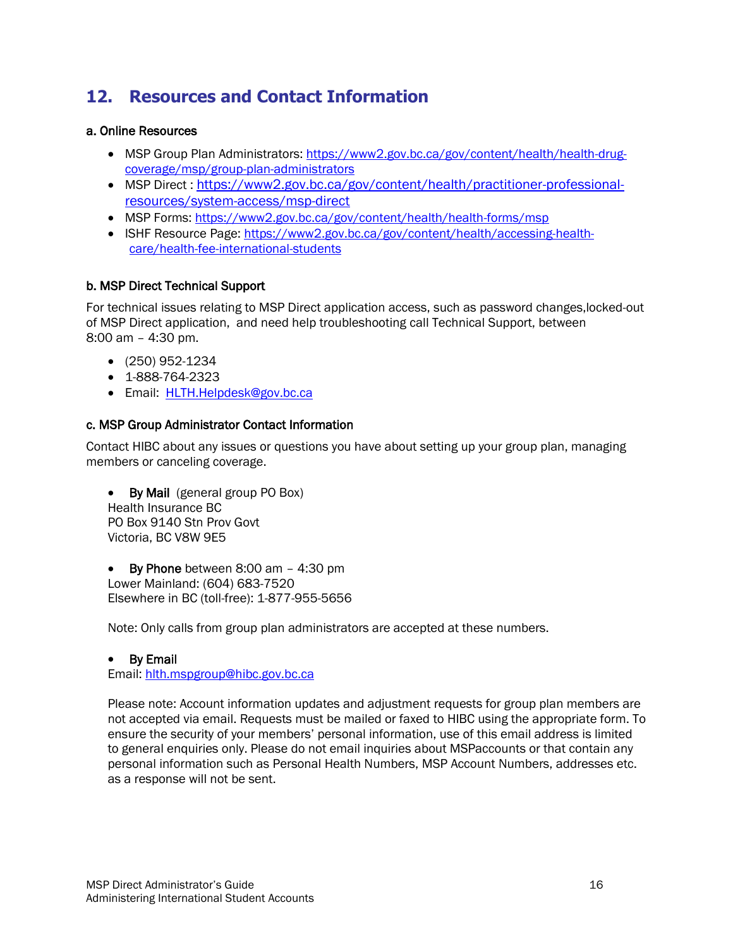## **12. Resources and Contact Information**

### a. Online Resources

- MSP Group Plan Administrators: https://www2.gov.bc.ca/gov/content/health/health-drugcoverage/msp/group-plan-administrators
- MSP Direct: https://www2.gov.bc.ca/gov/content/health/practitioner-professionalresources/system-access/msp-direct
- MSP Forms: https://www2.gov.bc.ca/gov/content/health/health-forms/msp
- ISHF Resource Page: https://www2.gov.bc.ca/gov/content/health/accessing-healthcare/health-fee-international-students

### b. MSP Direct Technical Support

For technical issues relating to MSP Direct application access, such as password changes,locked-out of MSP Direct application, and need help troubleshooting call Technical Support, between 8:00 am – 4:30 pm.

- (250) 952-1234
- 1-888-764-2323
- Email: HLTH.Helpdesk@gov.bc.ca

### c. MSP Group Administrator Contact Information

Contact HIBC about any issues or questions you have about setting up your group plan, managing members or canceling coverage.

• By Mail (general group PO Box) Health Insurance BC PO Box 9140 Stn Prov Govt Victoria, BC V8W 9E5

• By Phone between 8:00 am - 4:30 pm Lower Mainland: (604) 683-7520 Elsewhere in BC (toll-free): 1-877-955-5656

Note: Only calls from group plan administrators are accepted at these numbers.

#### By Email

Email: hlth.mspgroup@hibc.gov.bc.ca

Please note: Account information updates and adjustment requests for group plan members are not accepted via email. Requests must be mailed or faxed to HIBC using the appropriate form. To ensure the security of your members' personal information, use of this email address is limited to general enquiries only. Please do not email inquiries about MSPaccounts or that contain any personal information such as Personal Health Numbers, MSP Account Numbers, addresses etc. as a response will not be sent.